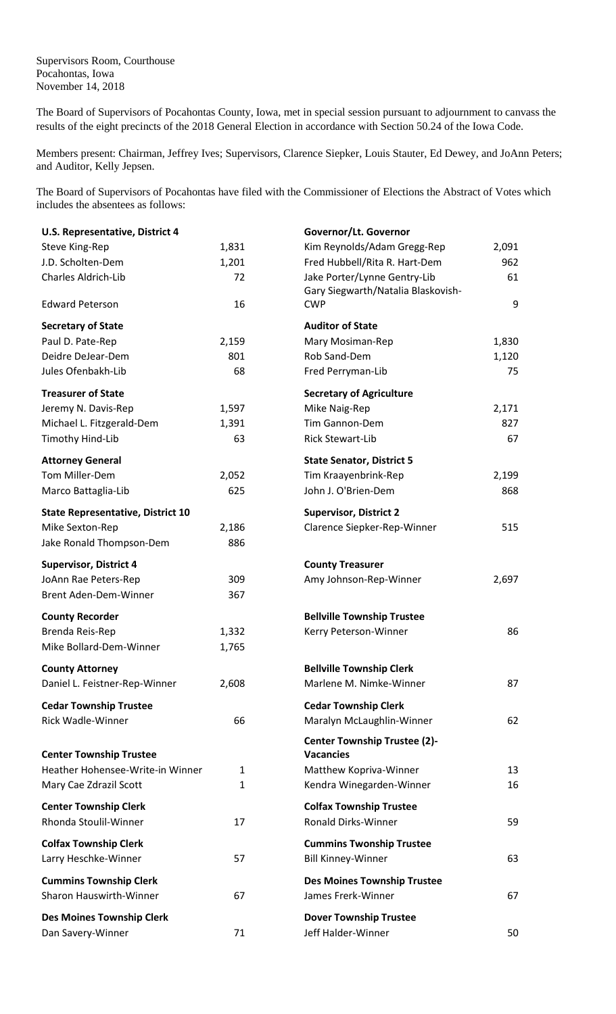Supervisors Room, Courthouse Pocahontas, Iowa November 14, 2018

The Board of Supervisors of Pocahontas County, Iowa, met in special session pursuant to adjournment to canvass the results of the eight precincts of the 2018 General Election in accordance with Section 50.24 of the Iowa Code.

Members present: Chairman, Jeffrey Ives; Supervisors, Clarence Siepker, Louis Stauter, Ed Dewey, and JoAnn Peters; and Auditor, Kelly Jepsen.

The Board of Supervisors of Pocahontas have filed with the Commissioner of Elections the Abstract of Votes which includes the absentees as follows:

| U.S. Representative, District 4          |              | Governor/Lt. Governor                                   |       |
|------------------------------------------|--------------|---------------------------------------------------------|-------|
| Steve King-Rep                           | 1,831        | Kim Reynolds/Adam Gregg-Rep                             | 2,091 |
| J.D. Scholten-Dem                        | 1,201        | Fred Hubbell/Rita R. Hart-Dem                           | 962   |
| Charles Aldrich-Lib                      | 72           | Jake Porter/Lynne Gentry-Lib                            | 61    |
|                                          |              | Gary Siegwarth/Natalia Blaskovish-                      |       |
| <b>Edward Peterson</b>                   | 16           | <b>CWP</b>                                              | 9     |
| <b>Secretary of State</b>                |              | <b>Auditor of State</b>                                 |       |
| Paul D. Pate-Rep                         | 2,159        | Mary Mosiman-Rep                                        | 1,830 |
| Deidre DeJear-Dem                        | 801          | Rob Sand-Dem                                            | 1,120 |
| Jules Ofenbakh-Lib                       | 68           | Fred Perryman-Lib                                       | 75    |
| <b>Treasurer of State</b>                |              | <b>Secretary of Agriculture</b>                         |       |
| Jeremy N. Davis-Rep                      | 1,597        | Mike Naig-Rep                                           | 2,171 |
| Michael L. Fitzgerald-Dem                | 1,391        | Tim Gannon-Dem                                          | 827   |
| Timothy Hind-Lib                         | 63           | Rick Stewart-Lib                                        | 67    |
| <b>Attorney General</b>                  |              | <b>State Senator, District 5</b>                        |       |
| Tom Miller-Dem                           | 2,052        | Tim Kraayenbrink-Rep                                    | 2,199 |
| Marco Battaglia-Lib                      | 625          | John J. O'Brien-Dem                                     | 868   |
|                                          |              |                                                         |       |
| <b>State Representative, District 10</b> |              | <b>Supervisor, District 2</b>                           |       |
| Mike Sexton-Rep                          | 2,186        | Clarence Siepker-Rep-Winner                             | 515   |
| Jake Ronald Thompson-Dem                 | 886          |                                                         |       |
| <b>Supervisor, District 4</b>            |              | <b>County Treasurer</b>                                 |       |
| JoAnn Rae Peters-Rep                     | 309          | Amy Johnson-Rep-Winner                                  | 2,697 |
| Brent Aden-Dem-Winner                    | 367          |                                                         |       |
| <b>County Recorder</b>                   |              | <b>Bellville Township Trustee</b>                       |       |
| Brenda Reis-Rep                          | 1,332        | Kerry Peterson-Winner                                   | 86    |
| Mike Bollard-Dem-Winner                  | 1,765        |                                                         |       |
| <b>County Attorney</b>                   |              | <b>Bellville Township Clerk</b>                         |       |
| Daniel L. Feistner-Rep-Winner            | 2,608        | Marlene M. Nimke-Winner                                 | 87    |
| <b>Cedar Township Trustee</b>            |              | <b>Cedar Township Clerk</b>                             |       |
| <b>Rick Wadle-Winner</b>                 | 66           | Maralyn McLaughlin-Winner                               | 62    |
|                                          |              |                                                         |       |
| <b>Center Township Trustee</b>           |              | <b>Center Township Trustee (2)-</b><br><b>Vacancies</b> |       |
| Heather Hohensee-Write-in Winner         | $\mathbf{1}$ | Matthew Kopriva-Winner                                  | 13    |
| Mary Cae Zdrazil Scott                   | $\mathbf{1}$ | Kendra Winegarden-Winner                                | 16    |
| <b>Center Township Clerk</b>             |              | <b>Colfax Township Trustee</b>                          |       |
| Rhonda Stoulil-Winner                    | 17           | Ronald Dirks-Winner                                     | 59    |
|                                          |              |                                                         |       |
| <b>Colfax Township Clerk</b>             |              | <b>Cummins Twonship Trustee</b>                         |       |
| Larry Heschke-Winner                     | 57           | <b>Bill Kinney-Winner</b>                               | 63    |
| <b>Cummins Township Clerk</b>            |              | <b>Des Moines Township Trustee</b>                      |       |
| <b>Sharon Hauswirth-Winner</b>           | 67           | James Frerk-Winner                                      | 67    |
| <b>Des Moines Township Clerk</b>         |              | <b>Dover Township Trustee</b>                           |       |
| Dan Savery-Winner                        | 71           | Jeff Halder-Winner                                      | 50    |